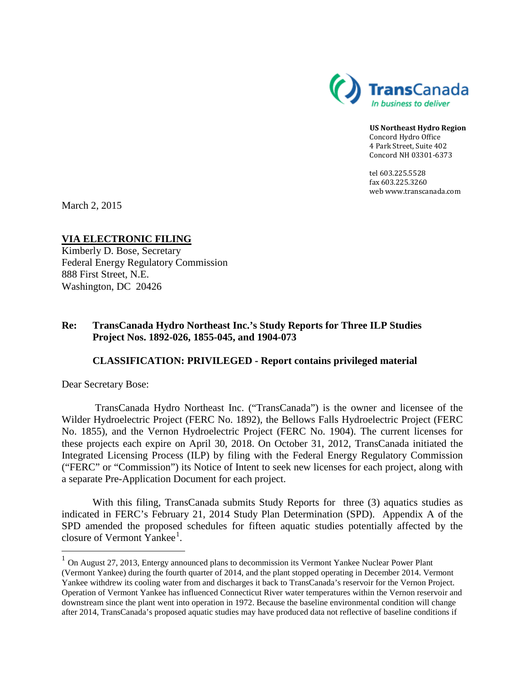

**US Northeast Hydro Region** Concord Hydro Office 4 Park Street, Suite 402 Concord NH 03301-6373

tel 603.225.5528 fax 603.225.3260 web www.transcanada.com

March 2, 2015

**VIA ELECTRONIC FILING** Kimberly D. Bose, Secretary Federal Energy Regulatory Commission 888 First Street, N.E. Washington, DC 20426

## **Re: TransCanada Hydro Northeast Inc.'s Study Reports for Three ILP Studies Project Nos. 1892-026, 1855-045, and 1904-073**

## **CLASSIFICATION: PRIVILEGED - Report contains privileged material**

Dear Secretary Bose:

TransCanada Hydro Northeast Inc. ("TransCanada") is the owner and licensee of the Wilder Hydroelectric Project (FERC No. 1892), the Bellows Falls Hydroelectric Project (FERC No. 1855), and the Vernon Hydroelectric Project (FERC No. 1904). The current licenses for these projects each expire on April 30, 2018. On October 31, 2012, TransCanada initiated the Integrated Licensing Process (ILP) by filing with the Federal Energy Regulatory Commission ("FERC" or "Commission") its Notice of Intent to seek new licenses for each project, along with a separate Pre-Application Document for each project.

With this filing, TransCanada submits Study Reports for three (3) aquatics studies as indicated in FERC's February 21, 2014 Study Plan Determination (SPD). Appendix A of the SPD amended the proposed schedules for fifteen aquatic studies potentially affected by the closure of Vermont Yankee<sup>[1](#page-0-0)</sup>.

<span id="page-0-0"></span> $1$  On August 27, 2013, Entergy announced plans to decommission its Vermont Yankee Nuclear Power Plant (Vermont Yankee) during the fourth quarter of 2014, and the plant stopped operating in December 2014. Vermont Yankee withdrew its cooling water from and discharges it back to TransCanada's reservoir for the Vernon Project. Operation of Vermont Yankee has influenced Connecticut River water temperatures within the Vernon reservoir and downstream since the plant went into operation in 1972. Because the baseline environmental condition will change after 2014, TransCanada's proposed aquatic studies may have produced data not reflective of baseline conditions if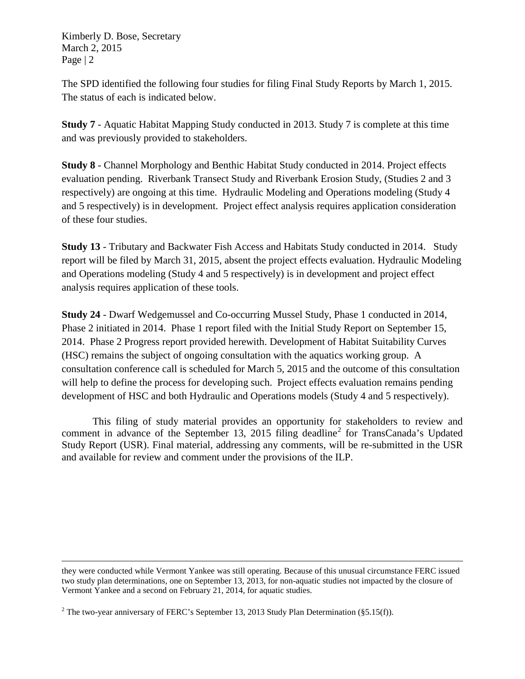Kimberly D. Bose, Secretary March 2, 2015 Page | 2

The SPD identified the following four studies for filing Final Study Reports by March 1, 2015. The status of each is indicated below.

**Study 7** - Aquatic Habitat Mapping Study conducted in 2013. Study 7 is complete at this time and was previously provided to stakeholders.

**Study 8** - Channel Morphology and Benthic Habitat Study conducted in 2014. Project effects evaluation pending. Riverbank Transect Study and Riverbank Erosion Study, (Studies 2 and 3 respectively) are ongoing at this time. Hydraulic Modeling and Operations modeling (Study 4 and 5 respectively) is in development. Project effect analysis requires application consideration of these four studies.

**Study 13** - Tributary and Backwater Fish Access and Habitats Study conducted in 2014. Study report will be filed by March 31, 2015, absent the project effects evaluation. Hydraulic Modeling and Operations modeling (Study 4 and 5 respectively) is in development and project effect analysis requires application of these tools.

**Study 24** - Dwarf Wedgemussel and Co-occurring Mussel Study, Phase 1 conducted in 2014, Phase 2 initiated in 2014. Phase 1 report filed with the Initial Study Report on September 15, 2014. Phase 2 Progress report provided herewith. Development of Habitat Suitability Curves (HSC) remains the subject of ongoing consultation with the aquatics working group. A consultation conference call is scheduled for March 5, 2015 and the outcome of this consultation will help to define the process for developing such. Project effects evaluation remains pending development of HSC and both Hydraulic and Operations models (Study 4 and 5 respectively).

This filing of study material provides an opportunity for stakeholders to review and comment in advance of the September 13, [2](#page-1-0)015 filing deadline<sup>2</sup> for TransCanada's Updated Study Report (USR). Final material, addressing any comments, will be re-submitted in the USR and available for review and comment under the provisions of the ILP.

 $\overline{a}$ they were conducted while Vermont Yankee was still operating. Because of this unusual circumstance FERC issued two study plan determinations, one on September 13, 2013, for non-aquatic studies not impacted by the closure of Vermont Yankee and a second on February 21, 2014, for aquatic studies.

<span id="page-1-0"></span><sup>&</sup>lt;sup>2</sup> The two-year anniversary of FERC's September 13, 2013 Study Plan Determination (§5.15(f)).